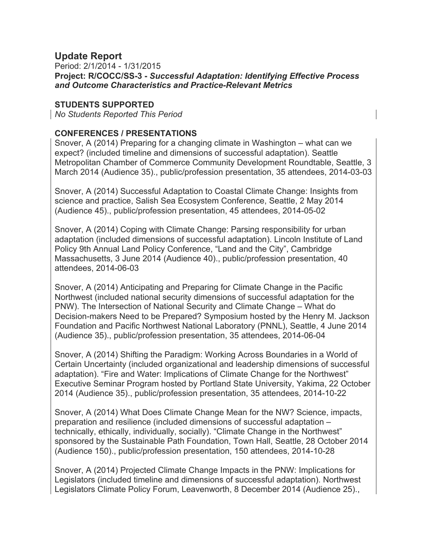## **Update Report**

Period: 2/1/2014 - 1/31/2015 **Project: R/COCC/SS-3 -** *Successful Adaptation: Identifying Effective Process and Outcome Characteristics and Practice-Relevant Metrics*

## **STUDENTS SUPPORTED**

*No Students Reported This Period*

## **CONFERENCES / PRESENTATIONS**

Snover, A (2014) Preparing for a changing climate in Washington – what can we expect? (included timeline and dimensions of successful adaptation). Seattle Metropolitan Chamber of Commerce Community Development Roundtable, Seattle, 3 March 2014 (Audience 35)., public/profession presentation, 35 attendees, 2014-03-03

Snover, A (2014) Successful Adaptation to Coastal Climate Change: Insights from science and practice, Salish Sea Ecosystem Conference, Seattle, 2 May 2014 (Audience 45)., public/profession presentation, 45 attendees, 2014-05-02

Snover, A (2014) Coping with Climate Change: Parsing responsibility for urban adaptation (included dimensions of successful adaptation). Lincoln Institute of Land Policy 9th Annual Land Policy Conference, "Land and the City", Cambridge Massachusetts, 3 June 2014 (Audience 40)., public/profession presentation, 40 attendees, 2014-06-03

Snover, A (2014) Anticipating and Preparing for Climate Change in the Pacific Northwest (included national security dimensions of successful adaptation for the PNW). The Intersection of National Security and Climate Change – What do Decision-makers Need to be Prepared? Symposium hosted by the Henry M. Jackson Foundation and Pacific Northwest National Laboratory (PNNL), Seattle, 4 June 2014 (Audience 35)., public/profession presentation, 35 attendees, 2014-06-04

Snover, A (2014) Shifting the Paradigm: Working Across Boundaries in a World of Certain Uncertainty (included organizational and leadership dimensions of successful adaptation). "Fire and Water: Implications of Climate Change for the Northwest" Executive Seminar Program hosted by Portland State University, Yakima, 22 October 2014 (Audience 35)., public/profession presentation, 35 attendees, 2014-10-22

Snover, A (2014) What Does Climate Change Mean for the NW? Science, impacts, preparation and resilience (included dimensions of successful adaptation – technically, ethically, individually, socially). "Climate Change in the Northwest" sponsored by the Sustainable Path Foundation, Town Hall, Seattle, 28 October 2014 (Audience 150)., public/profession presentation, 150 attendees, 2014-10-28

Snover, A (2014) Projected Climate Change Impacts in the PNW: Implications for Legislators (included timeline and dimensions of successful adaptation). Northwest Legislators Climate Policy Forum, Leavenworth, 8 December 2014 (Audience 25).,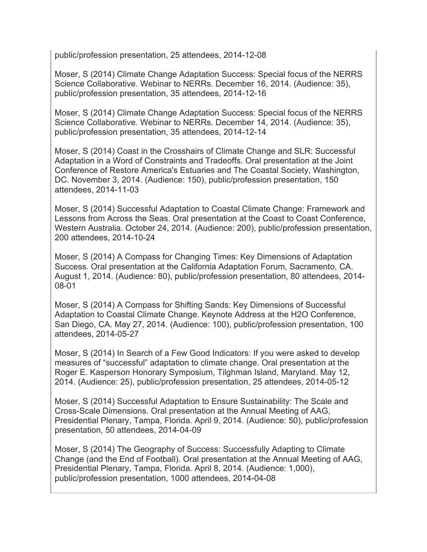public/profession presentation, 25 attendees, 2014-12-08

Moser, S (2014) Climate Change Adaptation Success: Special focus of the NERRS Science Collaborative. Webinar to NERRs. December 16, 2014. (Audience: 35), public/profession presentation, 35 attendees, 2014-12-16

Moser, S (2014) Climate Change Adaptation Success: Special focus of the NERRS Science Collaborative. Webinar to NERRs. December 14, 2014. (Audience: 35), public/profession presentation, 35 attendees, 2014-12-14

Moser, S (2014) Coast in the Crosshairs of Climate Change and SLR: Successful Adaptation in a Word of Constraints and Tradeoffs. Oral presentation at the Joint Conference of Restore America's Estuaries and The Coastal Society, Washington, DC. November 3, 2014. (Audience: 150), public/profession presentation, 150 attendees, 2014-11-03

Moser, S (2014) Successful Adaptation to Coastal Climate Change: Framework and Lessons from Across the Seas. Oral presentation at the Coast to Coast Conference, Western Australia. October 24, 2014. (Audience: 200), public/profession presentation, 200 attendees, 2014-10-24

Moser, S (2014) A Compass for Changing Times: Key Dimensions of Adaptation Success. Oral presentation at the California Adaptation Forum, Sacramento, CA. August 1, 2014. (Audience: 80), public/profession presentation, 80 attendees, 2014- 08-01

Moser, S (2014) A Compass for Shifting Sands: Key Dimensions of Successful Adaptation to Coastal Climate Change. Keynote Address at the H2O Conference, San Diego, CA. May 27, 2014. (Audience: 100), public/profession presentation, 100 attendees, 2014-05-27

Moser, S (2014) In Search of a Few Good Indicators: If you were asked to develop measures of "successful" adaptation to climate change. Oral presentation at the Roger E. Kasperson Honorary Symposium, Tilghman Island, Maryland. May 12, 2014. (Audience: 25), public/profession presentation, 25 attendees, 2014-05-12

Moser, S (2014) Successful Adaptation to Ensure Sustainability: The Scale and Cross-Scale Dimensions. Oral presentation at the Annual Meeting of AAG, Presidential Plenary, Tampa, Florida. April 9, 2014. (Audience: 50), public/profession presentation, 50 attendees, 2014-04-09

Moser, S (2014) The Geography of Success: Successfully Adapting to Climate Change (and the End of Football). Oral presentation at the Annual Meeting of AAG, Presidential Plenary, Tampa, Florida. April 8, 2014. (Audience: 1,000), public/profession presentation, 1000 attendees, 2014-04-08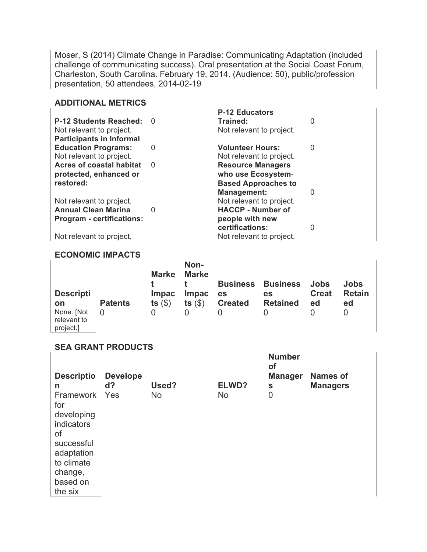Moser, S (2014) Climate Change in Paradise: Communicating Adaptation (included challenge of communicating success). Oral presentation at the Social Coast Forum, Charleston, South Carolina. February 19, 2014. (Audience: 50), public/profession presentation, 50 attendees, 2014-02-19

## **ADDITIONAL METRICS**

|                                  |          | <b>P-12 Educators</b>      |   |
|----------------------------------|----------|----------------------------|---|
| <b>P-12 Students Reached:</b>    | $\Omega$ | Trained:                   | O |
| Not relevant to project.         |          | Not relevant to project.   |   |
| <b>Participants in Informal</b>  |          |                            |   |
| <b>Education Programs:</b>       | 0        | <b>Volunteer Hours:</b>    | 0 |
| Not relevant to project.         |          | Not relevant to project.   |   |
| <b>Acres of coastal habitat</b>  | $\Omega$ | <b>Resource Managers</b>   |   |
| protected, enhanced or           |          | who use Ecosystem-         |   |
| restored:                        |          | <b>Based Approaches to</b> |   |
|                                  |          | <b>Management:</b>         | 0 |
| Not relevant to project.         |          | Not relevant to project.   |   |
| <b>Annual Clean Marina</b>       | 0        | <b>HACCP - Number of</b>   |   |
| <b>Program - certifications:</b> |          | people with new            |   |
|                                  |          | certifications:            | 0 |
| Not relevant to project.         |          | Not relevant to project.   |   |

### **ECONOMIC IMPACTS**

|                                        |                | <b>Marke</b> | Non-<br>Marke | <b>Business</b> | <b>Business</b> | Jobs         | Jobs          |
|----------------------------------------|----------------|--------------|---------------|-----------------|-----------------|--------------|---------------|
| <b>Descripti</b>                       |                | <b>Impac</b> | <b>Impac</b>  | es              | es              | <b>Creat</b> | <b>Retain</b> |
| on                                     | <b>Patents</b> | ts $(\$)$    | ts $(\$)$     | <b>Created</b>  | <b>Retained</b> | ed           | ed            |
| None. [Not<br>relevant to<br>project.] | 0              |              |               |                 |                 |              |               |

**Number** 

## **SEA GRANT PRODUCTS**

| <b>Descriptio</b><br>n<br>Framework Yes<br>for<br>developing<br>indicators<br>of | <b>Develope</b><br>$d$ ? | Used?<br><b>No</b> | ELWD?<br><b>No</b> | of<br><b>Manager</b><br>S<br>$\mathbf 0$ | <b>Names of</b><br><b>Managers</b> |
|----------------------------------------------------------------------------------|--------------------------|--------------------|--------------------|------------------------------------------|------------------------------------|
| successful<br>adaptation<br>to climate                                           |                          |                    |                    |                                          |                                    |
| change,<br>based on<br>the six                                                   |                          |                    |                    |                                          |                                    |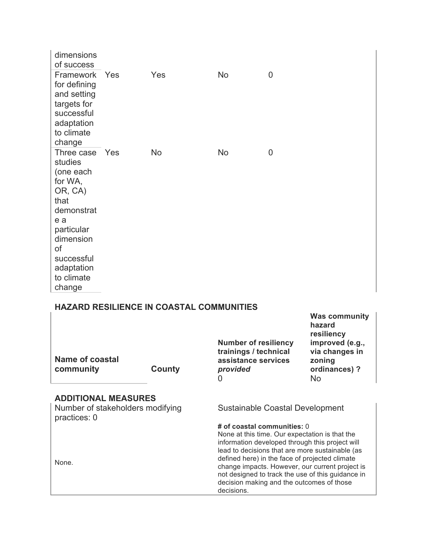| dimensions<br>of success                                                                                                                                                       |     |           |           |   |
|--------------------------------------------------------------------------------------------------------------------------------------------------------------------------------|-----|-----------|-----------|---|
| Framework<br>for defining<br>and setting<br>targets for<br>successful<br>adaptation<br>to climate<br>change                                                                    | Yes | Yes       | <b>No</b> | 0 |
| Three case Yes<br>studies<br>(one each<br>for WA,<br>OR, CA)<br>that<br>demonstrat<br>e a<br>particular<br>dimension<br>of<br>successful<br>adaptation<br>to climate<br>change |     | <b>No</b> | <b>No</b> | 0 |

# **HAZARD RESILIENCE IN COASTAL COMMUNITIES**

| Name of coastal<br>community                                                   | County | <b>Number of resiliency</b><br>trainings / technical<br>assistance services<br>provided<br>0                                                                                                                                                                                                                                                                                                             | <b>Was community</b><br>hazard<br>resiliency<br>improved (e.g.,<br>via changes in<br>zoning<br>ordinances)?<br>No. |  |  |
|--------------------------------------------------------------------------------|--------|----------------------------------------------------------------------------------------------------------------------------------------------------------------------------------------------------------------------------------------------------------------------------------------------------------------------------------------------------------------------------------------------------------|--------------------------------------------------------------------------------------------------------------------|--|--|
| <b>ADDITIONAL MEASURES</b><br>Number of stakeholders modifying<br>practices: 0 |        | Sustainable Coastal Development                                                                                                                                                                                                                                                                                                                                                                          |                                                                                                                    |  |  |
| None.                                                                          |        | # of coastal communities: 0<br>None at this time. Our expectation is that the<br>information developed through this project will<br>lead to decisions that are more sustainable (as<br>defined here) in the face of projected climate<br>change impacts. However, our current project is<br>not designed to track the use of this guidance in<br>decision making and the outcomes of those<br>decisions. |                                                                                                                    |  |  |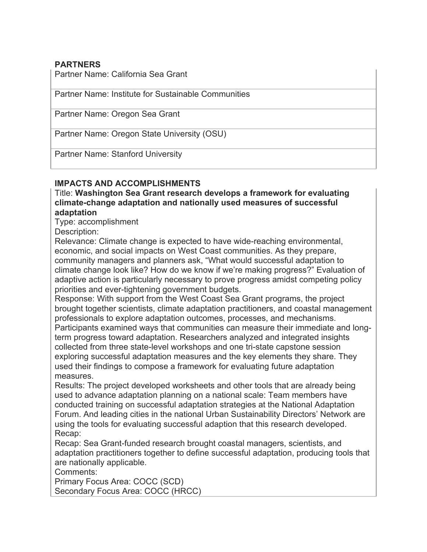## **PARTNERS**

Partner Name: California Sea Grant

Partner Name: Institute for Sustainable Communities

Partner Name: Oregon Sea Grant

Partner Name: Oregon State University (OSU)

Partner Name: Stanford University

## **IMPACTS AND ACCOMPLISHMENTS**

Title: **Washington Sea Grant research develops a framework for evaluating climate-change adaptation and nationally used measures of successful adaptation**

Type: accomplishment

Description:

Relevance: Climate change is expected to have wide-reaching environmental, economic, and social impacts on West Coast communities. As they prepare, community managers and planners ask, "What would successful adaptation to climate change look like? How do we know if we're making progress?" Evaluation of adaptive action is particularly necessary to prove progress amidst competing policy priorities and ever-tightening government budgets.

Response: With support from the West Coast Sea Grant programs, the project brought together scientists, climate adaptation practitioners, and coastal management professionals to explore adaptation outcomes, processes, and mechanisms.

Participants examined ways that communities can measure their immediate and longterm progress toward adaptation. Researchers analyzed and integrated insights collected from three state-level workshops and one tri-state capstone session exploring successful adaptation measures and the key elements they share. They used their findings to compose a framework for evaluating future adaptation measures.

Results: The project developed worksheets and other tools that are already being used to advance adaptation planning on a national scale: Team members have conducted training on successful adaptation strategies at the National Adaptation Forum. And leading cities in the national Urban Sustainability Directors' Network are using the tools for evaluating successful adaption that this research developed. Recap:

Recap: Sea Grant-funded research brought coastal managers, scientists, and adaptation practitioners together to define successful adaptation, producing tools that are nationally applicable.

Comments:

Primary Focus Area: COCC (SCD) Secondary Focus Area: COCC (HRCC)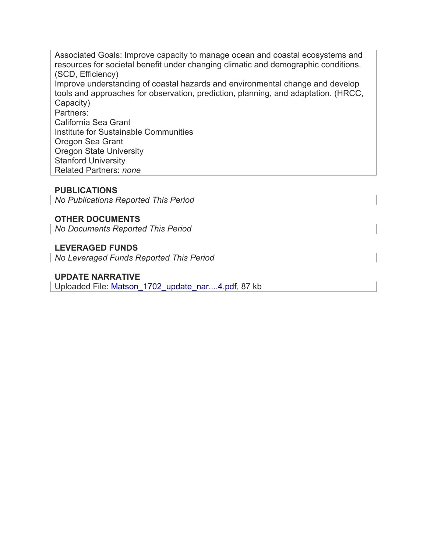Associated Goals: Improve capacity to manage ocean and coastal ecosystems and resources for societal benefit under changing climatic and demographic conditions. (SCD, Efficiency) Improve understanding of coastal hazards and environmental change and develop tools and approaches for observation, prediction, planning, and adaptation. (HRCC, Capacity) Partners: California Sea Grant Institute for Sustainable Communities Oregon Sea Grant Oregon State University Stanford University Related Partners: *none*

### **PUBLICATIONS**

*No Publications Reported This Period*

# **OTHER DOCUMENTS**

*No Documents Reported This Period*

## **LEVERAGED FUNDS**

*No Leveraged Funds Reported This Period*

## **UPDATE NARRATIVE**

Uploaded File: Matson\_1702\_update\_nar....4.pdf, 87 kb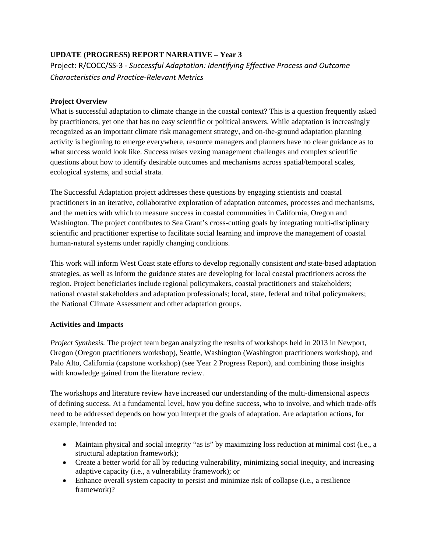## **UPDATE (PROGRESS) REPORT NARRATIVE – Year 3**

Project: R/COCC/SS‐3 ‐ *Successful Adaptation: Identifying Effective Process and Outcome Characteristics and Practice‐Relevant Metrics*

#### **Project Overview**

What is successful adaptation to climate change in the coastal context? This is a question frequently asked by practitioners, yet one that has no easy scientific or political answers. While adaptation is increasingly recognized as an important climate risk management strategy, and on-the-ground adaptation planning activity is beginning to emerge everywhere, resource managers and planners have no clear guidance as to what success would look like. Success raises vexing management challenges and complex scientific questions about how to identify desirable outcomes and mechanisms across spatial/temporal scales, ecological systems, and social strata.

The Successful Adaptation project addresses these questions by engaging scientists and coastal practitioners in an iterative, collaborative exploration of adaptation outcomes, processes and mechanisms, and the metrics with which to measure success in coastal communities in California, Oregon and Washington. The project contributes to Sea Grant's cross-cutting goals by integrating multi-disciplinary scientific and practitioner expertise to facilitate social learning and improve the management of coastal human-natural systems under rapidly changing conditions.

This work will inform West Coast state efforts to develop regionally consistent *and* state-based adaptation strategies, as well as inform the guidance states are developing for local coastal practitioners across the region. Project beneficiaries include regional policymakers, coastal practitioners and stakeholders; national coastal stakeholders and adaptation professionals; local, state, federal and tribal policymakers; the National Climate Assessment and other adaptation groups.

#### **Activities and Impacts**

*Project Synthesis.* The project team began analyzing the results of workshops held in 2013 in Newport, Oregon (Oregon practitioners workshop), Seattle, Washington (Washington practitioners workshop), and Palo Alto, California (capstone workshop) (see Year 2 Progress Report), and combining those insights with knowledge gained from the literature review.

The workshops and literature review have increased our understanding of the multi-dimensional aspects of defining success. At a fundamental level, how you define success, who to involve, and which trade-offs need to be addressed depends on how you interpret the goals of adaptation. Are adaptation actions, for example, intended to:

- Maintain physical and social integrity "as is" by maximizing loss reduction at minimal cost (i.e., a structural adaptation framework);
- Create a better world for all by reducing vulnerability, minimizing social inequity, and increasing adaptive capacity (i.e., a vulnerability framework); or
- Enhance overall system capacity to persist and minimize risk of collapse (i.e., a resilience framework)?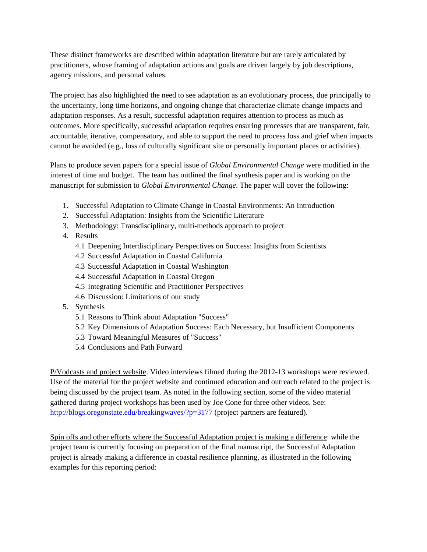These distinct frameworks are described within adaptation literature but are rarely articulated by practitioners, whose framing of adaptation actions and goals are driven largely by job descriptions, agency missions, and personal values.

The project has also highlighted the need to see adaptation as an evolutionary process, due principally to the uncertainty, long time horizons, and ongoing change that characterize climate change impacts and adaptation responses. As a result, successful adaptation requires attention to process as much as outcomes. More specifically, successful adaptation requires ensuring processes that are transparent, fair, accountable, iterative, compensatory, and able to support the need to process loss and grief when impacts cannot be avoided (e.g., loss of culturally significant site or personally important places or activities).

Plans to produce seven papers for a special issue of *Global Environmental Change* were modified in the interest of time and budget. The team has outlined the final synthesis paper and is working on the manuscript for submission to *Global Environmental Change*. The paper will cover the following:

- 1. Successful Adaptation to Climate Change in Coastal Environments: An Introduction
- 2. Successful Adaptation: Insights from the Scientific Literature
- 3. Methodology: Transdisciplinary, multi-methods approach to project
- 4. Results
	- 4.1 Deepening Interdisciplinary Perspectives on Success: Insights from Scientists
	- 4.2 Successful Adaptation in Coastal California
	- 4.3 Successful Adaptation in Coastal Washington
	- 4.4 Successful Adaptation in Coastal Oregon
	- 4.5 Integrating Scientific and Practitioner Perspectives
	- 4.6 Discussion: Limitations of our study
- 5. Synthesis
	- 5.1 Reasons to Think about Adaptation "Success"
	- 5.2 Key Dimensions of Adaptation Success: Each Necessary, but Insufficient Components
	- 5.3 Toward Meaningful Measures of "Success"
	- 5.4 Conclusions and Path Forward

P/Vodcasts and project website. Video interviews filmed during the 2012-13 workshops were reviewed. Use of the material for the project website and continued education and outreach related to the project is being discussed by the project team. As noted in the following section, some of the video material gathered during project workshops has been used by Joe Cone for three other videos. See: http://blogs.oregonstate.edu/breakingwaves/?p=3177 (project partners are featured).

Spin offs and other efforts where the Successful Adaptation project is making a difference: while the project team is currently focusing on preparation of the final manuscript, the Successful Adaptation project is already making a difference in coastal resilience planning, as illustrated in the following examples for this reporting period: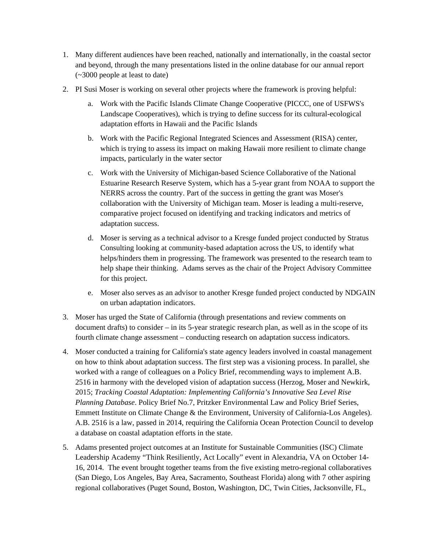- 1. Many different audiences have been reached, nationally and internationally, in the coastal sector and beyond, through the many presentations listed in the online database for our annual report (~3000 people at least to date)
- 2. PI Susi Moser is working on several other projects where the framework is proving helpful:
	- a. Work with the Pacific Islands Climate Change Cooperative (PICCC, one of USFWS's Landscape Cooperatives), which is trying to define success for its cultural-ecological adaptation efforts in Hawaii and the Pacific Islands
	- b. Work with the Pacific Regional Integrated Sciences and Assessment (RISA) center, which is trying to assess its impact on making Hawaii more resilient to climate change impacts, particularly in the water sector
	- c. Work with the University of Michigan-based Science Collaborative of the National Estuarine Research Reserve System, which has a 5-year grant from NOAA to support the NERRS across the country. Part of the success in getting the grant was Moser's collaboration with the University of Michigan team. Moser is leading a multi-reserve, comparative project focused on identifying and tracking indicators and metrics of adaptation success.
	- d. Moser is serving as a technical advisor to a Kresge funded project conducted by Stratus Consulting looking at community-based adaptation across the US, to identify what helps/hinders them in progressing. The framework was presented to the research team to help shape their thinking. Adams serves as the chair of the Project Advisory Committee for this project.
	- e. Moser also serves as an advisor to another Kresge funded project conducted by NDGAIN on urban adaptation indicators.
- 3. Moser has urged the State of California (through presentations and review comments on document drafts) to consider – in its 5-year strategic research plan, as well as in the scope of its fourth climate change assessment – conducting research on adaptation success indicators.
- 4. Moser conducted a training for California's state agency leaders involved in coastal management on how to think about adaptation success. The first step was a visioning process. In parallel, she worked with a range of colleagues on a Policy Brief, recommending ways to implement A.B. 2516 in harmony with the developed vision of adaptation success (Herzog, Moser and Newkirk, 2015; *Tracking Coastal Adaptation: Implementing California's Innovative Sea Level Rise Planning Database*. Policy Brief No.7, Pritzker Environmental Law and Policy Brief Series, Emmett Institute on Climate Change & the Environment, University of California-Los Angeles). A.B. 2516 is a law, passed in 2014, requiring the California Ocean Protection Council to develop a database on coastal adaptation efforts in the state.
- 5. Adams presented project outcomes at an Institute for Sustainable Communities (ISC) Climate Leadership Academy "Think Resiliently, Act Locally" event in Alexandria, VA on October 14- 16, 2014. The event brought together teams from the five existing metro-regional collaboratives (San Diego, Los Angeles, Bay Area, Sacramento, Southeast Florida) along with 7 other aspiring regional collaboratives (Puget Sound, Boston, Washington, DC, Twin Cities, Jacksonville, FL,